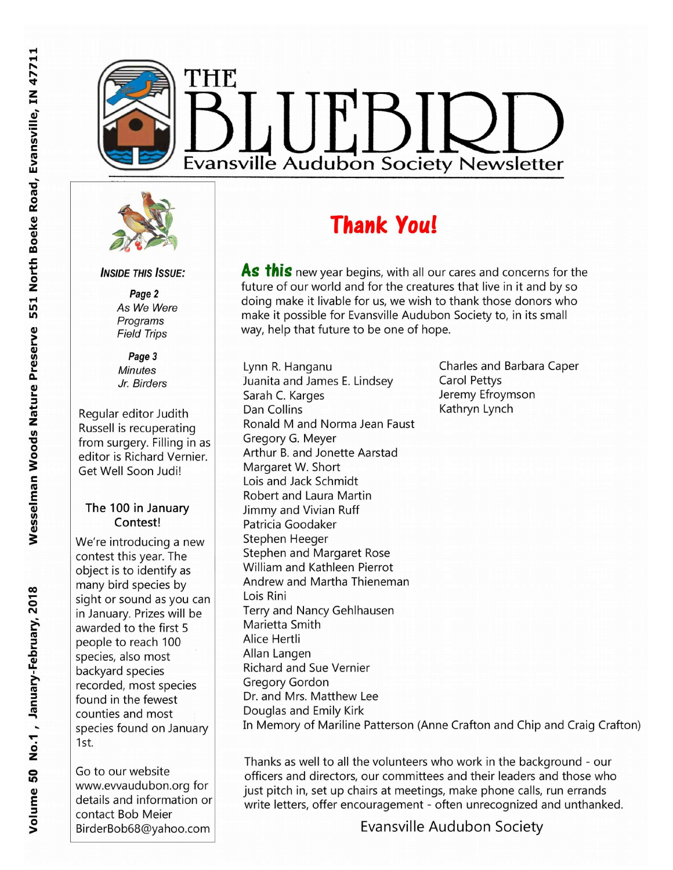



**INSIDE THIS ISSUE:** 

Page 2 As We Were Programs **Field Trips** 

Page 3 **Minutes** Jr. Birders

Regular editor Judith Russell is recuperating from surgery. Filling in as editor is Richard Vernier. Get Well Soon Judi!

#### The 100 in January Contest!

We're introducing a new contest this year. The object is to identify as many bird species by sight or sound as you can in January. Prizes will be awarded to the first 5 people to reach 100 species, also most backyard species recorded, most species found in the fewest counties and most species found on January 1st.

Go to our website www.evvaudubon.org for details and information or contact Bob Meier BirderBob68@yahoo.com

# **Thank You!**

As this new year begins, with all our cares and concerns for the future of our world and for the creatures that live in it and by so doing make it livable for us, we wish to thank those donors who make it possible for Evansville Audubon Society to, in its small way, help that future to be one of hope.

Lynn R. Hanganu Juanita and James E. Lindsey Sarah C. Karges Dan Collins Ronald M and Norma Jean Faust Gregory G. Meyer Arthur B. and Jonette Aarstad Margaret W. Short Lois and Jack Schmidt Robert and Laura Martin Jimmy and Vivian Ruff Patricia Goodaker Stephen Heeger Stephen and Margaret Rose William and Kathleen Pierrot Andrew and Martha Thieneman Lois Rini Terry and Nancy Gehlhausen Marietta Smith Alice Hertli Allan Langen **Richard and Sue Vernier** Gregory Gordon Dr. and Mrs. Matthew Lee Douglas and Emily Kirk

Charles and Barbara Caper **Carol Pettys** Jeremy Efroymson Kathryn Lynch

In Memory of Mariline Patterson (Anne Crafton and Chip and Craig Crafton)

Thanks as well to all the volunteers who work in the background - our officers and directors, our committees and their leaders and those who just pitch in, set up chairs at meetings, make phone calls, run errands write letters, offer encouragement - often unrecognized and unthanked.

Wesselman Woods Nature Preserve 551 North Boeke Road, Evansville, IN 47711

Evansville Audubon Society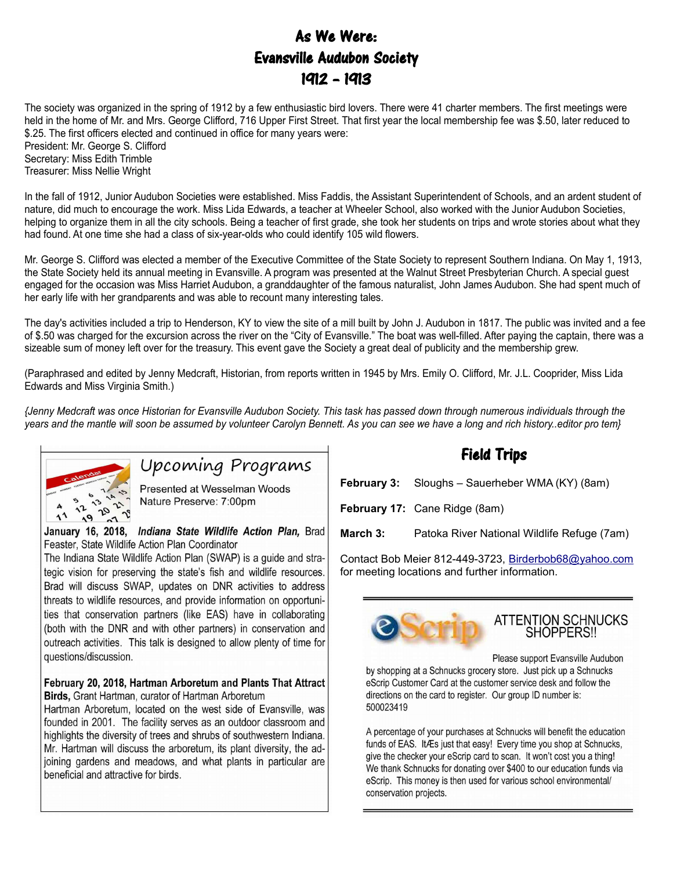## As We Were: Evansville Audubon Society 1912 – 1913

The society was organized in the spring of 1912 by a few enthusiastic bird lovers. There were 41 charter members. The first meetings were held in the home of Mr. and Mrs. George Clifford, 716 Upper First Street. That first year the local membership fee was \$.50, later reduced to \$.25. The first officers elected and continued in office for many years were: President: Mr. George S. Clifford

Secretary: Miss Edith Trimble Treasurer: Miss Nellie Wright

In the fall of 1912, Junior Audubon Societies were established. Miss Faddis, the Assistant Superintendent of Schools, and an ardent student of nature, did much to encourage the work. Miss Lida Edwards, a teacher at Wheeler School, also worked with the Junior Audubon Societies, helping to organize them in all the city schools. Being a teacher of first grade, she took her students on trips and wrote stories about what they had found. At one time she had a class of six-year-olds who could identify 105 wild flowers.

Mr. George S. Clifford was elected a member of the Executive Committee of the State Society to represent Southern Indiana. On May 1, 1913, the State Society held its annual meeting in Evansville. A program was presented at the Walnut Street Presbyterian Church. A special guest engaged for the occasion was Miss Harriet Audubon, a granddaughter of the famous naturalist, John James Audubon. She had spent much of her early life with her grandparents and was able to recount many interesting tales.

The day's activities included a trip to Henderson, KY to view the site of a mill built by John J. Audubon in 1817. The public was invited and a fee of \$.50 was charged for the excursion across the river on the "City of Evansville." The boat was well-filled. After paying the captain, there was a sizeable sum of money left over for the treasury. This event gave the Society a great deal of publicity and the membership grew.

(Paraphrased and edited by Jenny Medcraft, Historian, from reports written in 1945 by Mrs. Emily O. Clifford, Mr. J.L. Cooprider, Miss Lida Edwards and Miss Virginia Smith.)

*{Jenny Medcraft was once Historian for Evansville Audubon Society. This task has passed down through numerous individuals through the years and the mantle will soon be assumed by volunteer Carolyn Bennett. As you can see we have a long and rich history..editor pro tem}*



## Upcoming Programs

Presented at Wesselman Woods Nature Preserve: 7:00pm

#### January 16, 2018, Indiana State Wildlife Action Plan, Brad Feaster, State Wildlife Action Plan Coordinator

The Indiana State Wildlife Action Plan (SWAP) is a guide and strategic vision for preserving the state's fish and wildlife resources. Brad will discuss SWAP, updates on DNR activities to address threats to wildlife resources, and provide information on opportunities that conservation partners (like EAS) have in collaborating (both with the DNR and with other partners) in conservation and outreach activities. This talk is designed to allow plenty of time for questions/discussion.

#### February 20, 2018, Hartman Arboretum and Plants That Attract Birds, Grant Hartman, curator of Hartman Arboretum

Hartman Arboretum, located on the west side of Evansville, was founded in 2001. The facility serves as an outdoor classroom and highlights the diversity of trees and shrubs of southwestern Indiana. Mr. Hartman will discuss the arboretum, its plant diversity, the adjoining gardens and meadows, and what plants in particular are beneficial and attractive for birds.

### Field Trips

**February 3:** Sloughs – Sauerheber WMA (KY) (8am)

**February 17:** Cane Ridge (8am)

**March 3:** Patoka River National Wildlife Refuge (7am)

Contact Bob Meier 812-449-3723, [Birderbob68@yahoo.com](mailto:Birderbob68@yahoo.com) for meeting locations and further information.



# ATTENTION SCHNUCKS<br>SHOPPERS!!

Please support Evansville Audubon

by shopping at a Schnucks grocery store. Just pick up a Schnucks eScrip Customer Card at the customer service desk and follow the directions on the card to register. Our group ID number is: 500023419

A percentage of your purchases at Schnucks will benefit the education funds of EAS. It Æs just that easy! Every time you shop at Schnucks, give the checker your eScrip card to scan. It won't cost you a thing! We thank Schnucks for donating over \$400 to our education funds via eScrip. This money is then used for various school environmental/ conservation projects.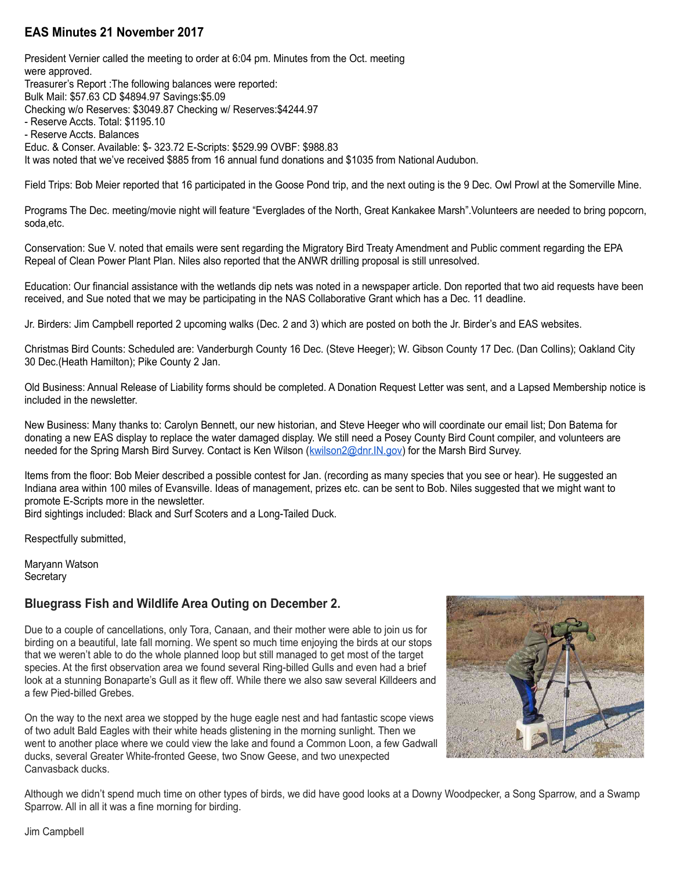#### **EAS Minutes 21 November 2017**

President Vernier called the meeting to order at 6:04 pm. Minutes from the Oct. meeting were approved. Treasurer's Report :The following balances were reported: Bulk Mail: \$57.63 CD \$4894.97 Savings:\$5.09 Checking w/o Reserves: \$3049.87 Checking w/ Reserves:\$4244.97 - Reserve Accts. Total: \$1195.10 - Reserve Accts. Balances Educ. & Conser. Available: \$- 323.72 E-Scripts: \$529.99 OVBF: \$988.83 It was noted that we've received \$885 from 16 annual fund donations and \$1035 from National Audubon.

Field Trips: Bob Meier reported that 16 participated in the Goose Pond trip, and the next outing is the 9 Dec. Owl Prowl at the Somerville Mine.

Programs The Dec. meeting/movie night will feature "Everglades of the North, Great Kankakee Marsh".Volunteers are needed to bring popcorn, soda,etc.

Conservation: Sue V. noted that emails were sent regarding the Migratory Bird Treaty Amendment and Public comment regarding the EPA Repeal of Clean Power Plant Plan. Niles also reported that the ANWR drilling proposal is still unresolved.

Education: Our financial assistance with the wetlands dip nets was noted in a newspaper article. Don reported that two aid requests have been received, and Sue noted that we may be participating in the NAS Collaborative Grant which has a Dec. 11 deadline.

Jr. Birders: Jim Campbell reported 2 upcoming walks (Dec. 2 and 3) which are posted on both the Jr. Birder's and EAS websites.

Christmas Bird Counts: Scheduled are: Vanderburgh County 16 Dec. (Steve Heeger); W. Gibson County 17 Dec. (Dan Collins); Oakland City 30 Dec.(Heath Hamilton); Pike County 2 Jan.

Old Business: Annual Release of Liability forms should be completed. A Donation Request Letter was sent, and a Lapsed Membership notice is included in the newsletter.

New Business: Many thanks to: Carolyn Bennett, our new historian, and Steve Heeger who will coordinate our email list; Don Batema for donating a new EAS display to replace the water damaged display. We still need a Posey County Bird Count compiler, and volunteers are needed for the Spring Marsh Bird Survey. Contact is Ken Wilson (kwilson 2@dnr.IN.gov) for the Marsh Bird Survey.

Items from the floor: Bob Meier described a possible contest for Jan. (recording as many species that you see or hear). He suggested an Indiana area within 100 miles of Evansville. Ideas of management, prizes etc. can be sent to Bob. Niles suggested that we might want to promote E-Scripts more in the newsletter.

Bird sightings included: Black and Surf Scoters and a Long-Tailed Duck.

Respectfully submitted,

Maryann Watson **Secretary** 

#### **Bluegrass Fish and Wildlife Area Outing on December 2.**

Due to a couple of cancellations, only Tora, Canaan, and their mother were able to join us for birding on a beautiful, late fall morning. We spent so much time enjoying the birds at our stops that we weren't able to do the whole planned loop but still managed to get most of the target species. At the first observation area we found several Ring-billed Gulls and even had a brief look at a stunning Bonaparte's Gull as it flew off. While there we also saw several Killdeers and a few Pied-billed Grebes.

On the way to the next area we stopped by the huge eagle nest and had fantastic scope views of two adult Bald Eagles with their white heads glistening in the morning sunlight. Then we went to another place where we could view the lake and found a Common Loon, a few Gadwall ducks, several Greater White-fronted Geese, two Snow Geese, and two unexpected Canvasback ducks.



Although we didn't spend much time on other types of birds, we did have good looks at a Downy Woodpecker, a Song Sparrow, and a Swamp Sparrow. All in all it was a fine morning for birding.

Jim Campbell